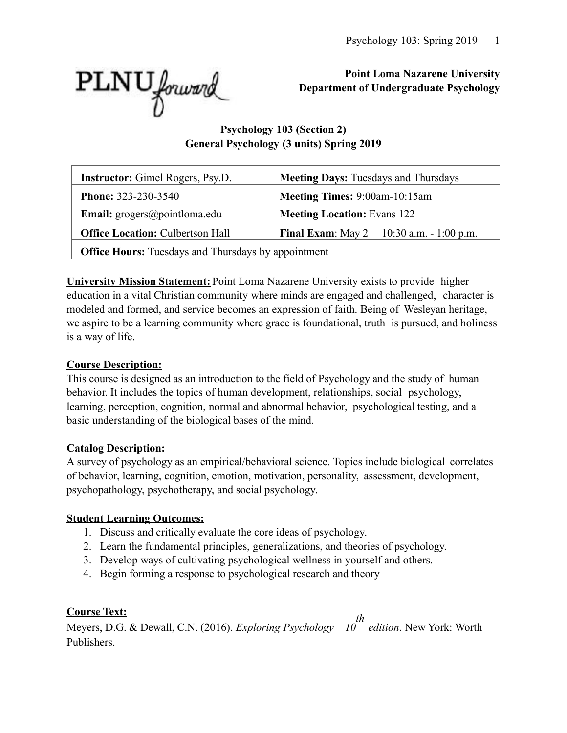

# **Point Loma Nazarene University Department of Undergraduate Psychology**

# **Psychology 103 (Section 2) General Psychology (3 units) Spring 2019**

| <b>Instructor:</b> Gimel Rogers, Psy.D.                    | <b>Meeting Days: Tuesdays and Thursdays</b>            |  |  |  |
|------------------------------------------------------------|--------------------------------------------------------|--|--|--|
| <b>Phone: 323-230-3540</b>                                 | Meeting Times: 9:00am-10:15am                          |  |  |  |
| <b>Email:</b> $\text{grogers}(\text{a)pointloma.edu}$      | <b>Meeting Location: Evans 122</b>                     |  |  |  |
| <b>Office Location: Culbertson Hall</b>                    | <b>Final Exam</b> : May $2 - 10:30$ a.m. $- 1:00$ p.m. |  |  |  |
| <b>Office Hours:</b> Tuesdays and Thursdays by appointment |                                                        |  |  |  |

**University Mission Statement:** Point Loma Nazarene University exists to provide higher education in a vital Christian community where minds are engaged and challenged, character is modeled and formed, and service becomes an expression of faith. Being of Wesleyan heritage, we aspire to be a learning community where grace is foundational, truth is pursued, and holiness is a way of life.

# **Course Description:**

This course is designed as an introduction to the field of Psychology and the study of human behavior. It includes the topics of human development, relationships, social psychology, learning, perception, cognition, normal and abnormal behavior, psychological testing, and a basic understanding of the biological bases of the mind.

# **Catalog Description:**

A survey of psychology as an empirical/behavioral science. Topics include biological correlates of behavior, learning, cognition, emotion, motivation, personality, assessment, development, psychopathology, psychotherapy, and social psychology.

# **Student Learning Outcomes:**

- 1. Discuss and critically evaluate the core ideas of psychology.
- 2. Learn the fundamental principles, generalizations, and theories of psychology.
- 3. Develop ways of cultivating psychological wellness in yourself and others.
- 4. Begin forming a response to psychological research and theory

# **Course Text:**

Meyers, D.G. & Dewall, C.N. (2016). *Exploring Psychology – 10 th edition*. New York: Worth Publishers.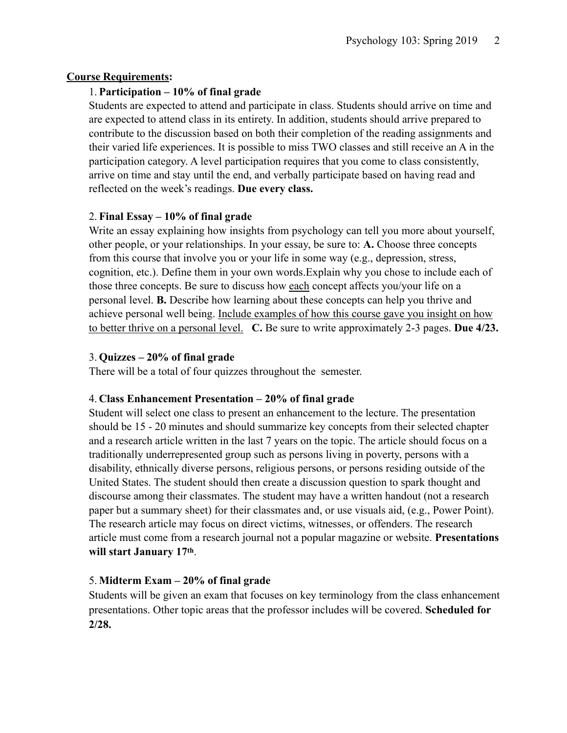## **Course Requirements:**

## 1. **Participation – 10% of final grade**

Students are expected to attend and participate in class. Students should arrive on time and are expected to attend class in its entirety. In addition, students should arrive prepared to contribute to the discussion based on both their completion of the reading assignments and their varied life experiences. It is possible to miss TWO classes and still receive an A in the participation category. A level participation requires that you come to class consistently, arrive on time and stay until the end, and verbally participate based on having read and reflected on the week's readings. **Due every class.**

## 2. **Final Essay – 10% of final grade**

Write an essay explaining how insights from psychology can tell you more about yourself, other people, or your relationships. In your essay, be sure to: **A.** Choose three concepts from this course that involve you or your life in some way (e.g., depression, stress, cognition, etc.). Define them in your own words.Explain why you chose to include each of those three concepts. Be sure to discuss how each concept affects you/your life on a personal level. **B.** Describe how learning about these concepts can help you thrive and achieve personal well being. Include examples of how this course gave you insight on how to better thrive on a personal level. **C.** Be sure to write approximately 2-3 pages. **Due 4/23.**

#### 3. **Quizzes – 20% of final grade**

There will be a total of four quizzes throughout the semester.

## 4. **Class Enhancement Presentation – 20% of final grade**

Student will select one class to present an enhancement to the lecture. The presentation should be 15 - 20 minutes and should summarize key concepts from their selected chapter and a research article written in the last 7 years on the topic. The article should focus on a traditionally underrepresented group such as persons living in poverty, persons with a disability, ethnically diverse persons, religious persons, or persons residing outside of the United States. The student should then create a discussion question to spark thought and discourse among their classmates. The student may have a written handout (not a research paper but a summary sheet) for their classmates and, or use visuals aid, (e.g., Power Point). The research article may focus on direct victims, witnesses, or offenders. The research article must come from a research journal not a popular magazine or website. **Presentations will start January 17th**.

## 5. **Midterm Exam – 20% of final grade**

Students will be given an exam that focuses on key terminology from the class enhancement presentations. Other topic areas that the professor includes will be covered. **Scheduled for 2/28.**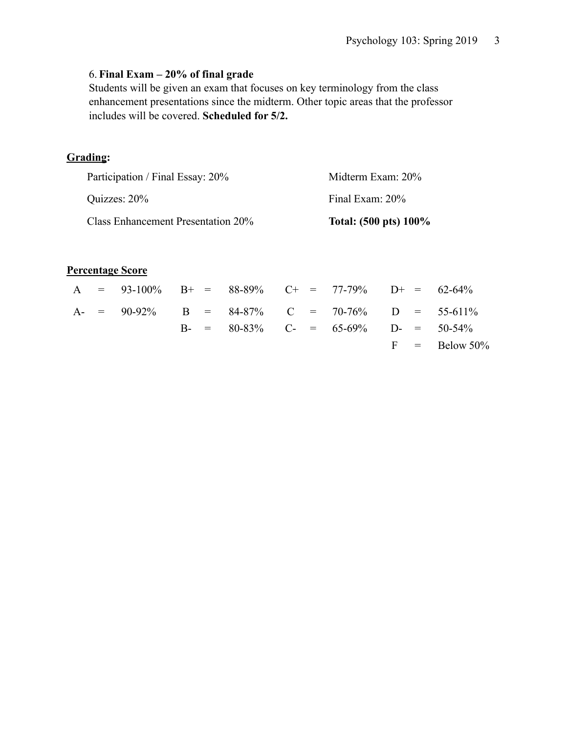## 6. **Final Exam – 20% of final grade**

Students will be given an exam that focuses on key terminology from the class enhancement presentations since the midterm. Other topic areas that the professor includes will be covered. **Scheduled for 5/2.**

# **Grading:**

| Quizzes: 20%                       | Final Exam: 20%       |
|------------------------------------|-----------------------|
|                                    |                       |
| Class Enhancement Presentation 20% | Total: (500 pts) 100% |

#### **Percentage Score**

|  | A = $93-100\%$ B+ = $88-89\%$ C+ = $77-79\%$ D+ = $62-64\%$ |  |  |                                              |  |                  |
|--|-------------------------------------------------------------|--|--|----------------------------------------------|--|------------------|
|  | A- = $90-92\%$ B = $84-87\%$ C = $70-76\%$ D = $55-611\%$   |  |  |                                              |  |                  |
|  |                                                             |  |  | B- = $80-83\%$ C- = $65-69\%$ D- = $50-54\%$ |  |                  |
|  |                                                             |  |  |                                              |  | $F = Below 50\%$ |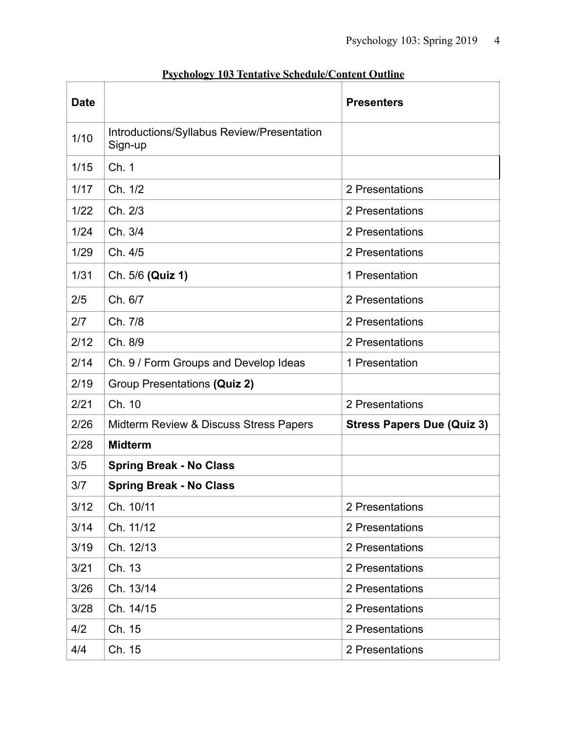| <b>Date</b> |                                                       | <b>Presenters</b>                 |  |  |  |  |
|-------------|-------------------------------------------------------|-----------------------------------|--|--|--|--|
| 1/10        | Introductions/Syllabus Review/Presentation<br>Sign-up |                                   |  |  |  |  |
| 1/15        | Ch. 1                                                 |                                   |  |  |  |  |
| 1/17        | Ch. 1/2                                               | 2 Presentations                   |  |  |  |  |
| 1/22        | Ch. 2/3                                               | 2 Presentations                   |  |  |  |  |
| 1/24        | Ch. 3/4                                               | 2 Presentations                   |  |  |  |  |
| 1/29        | Ch. 4/5                                               | 2 Presentations                   |  |  |  |  |
| 1/31        | Ch. 5/6 (Quiz 1)                                      | 1 Presentation                    |  |  |  |  |
| 2/5         | Ch. 6/7                                               | 2 Presentations                   |  |  |  |  |
| 2/7         | Ch. 7/8                                               | 2 Presentations                   |  |  |  |  |
| 2/12        | Ch. 8/9                                               | 2 Presentations                   |  |  |  |  |
| 2/14        | Ch. 9 / Form Groups and Develop Ideas                 | 1 Presentation                    |  |  |  |  |
| 2/19        | Group Presentations (Quiz 2)                          |                                   |  |  |  |  |
| 2/21        | Ch. 10                                                | 2 Presentations                   |  |  |  |  |
| 2/26        | Midterm Review & Discuss Stress Papers                | <b>Stress Papers Due (Quiz 3)</b> |  |  |  |  |
| 2/28        | <b>Midterm</b>                                        |                                   |  |  |  |  |
| 3/5         | <b>Spring Break - No Class</b>                        |                                   |  |  |  |  |
| 3/7         | <b>Spring Break - No Class</b>                        |                                   |  |  |  |  |
| 3/12        | Ch. 10/11                                             | 2 Presentations                   |  |  |  |  |
| 3/14        | Ch. 11/12                                             | 2 Presentations                   |  |  |  |  |
| 3/19        | Ch. 12/13                                             | 2 Presentations                   |  |  |  |  |
| 3/21        | Ch. 13                                                | 2 Presentations                   |  |  |  |  |
| 3/26        | Ch. 13/14                                             | 2 Presentations                   |  |  |  |  |
| 3/28        | Ch. 14/15                                             | 2 Presentations                   |  |  |  |  |
| 4/2         | Ch. 15                                                | 2 Presentations                   |  |  |  |  |
| 4/4         | Ch. 15                                                | 2 Presentations                   |  |  |  |  |

# **Psychology 103 Tentative Schedule/Content Outline**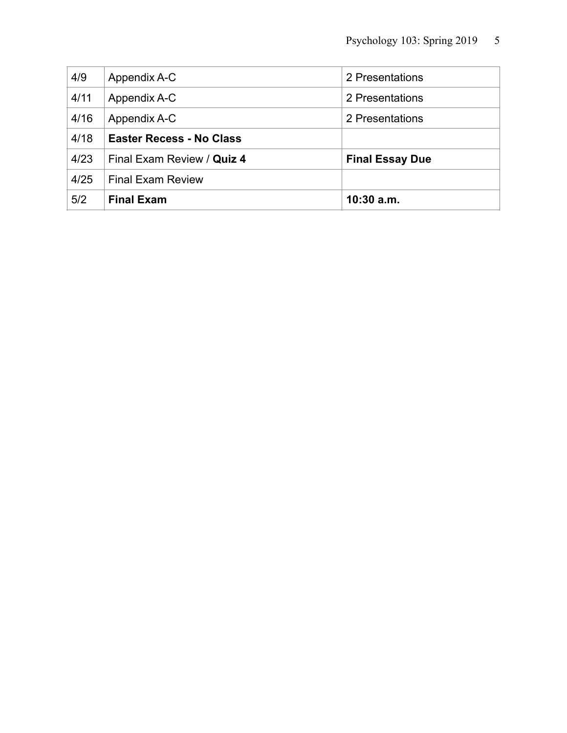| 4/9  | Appendix A-C                    | 2 Presentations        |
|------|---------------------------------|------------------------|
| 4/11 | Appendix A-C                    | 2 Presentations        |
| 4/16 | Appendix A-C                    | 2 Presentations        |
| 4/18 | <b>Easter Recess - No Class</b> |                        |
| 4/23 | Final Exam Review / Quiz 4      | <b>Final Essay Due</b> |
| 4/25 | <b>Final Exam Review</b>        |                        |
| 5/2  | <b>Final Exam</b>               | $10:30$ a.m.           |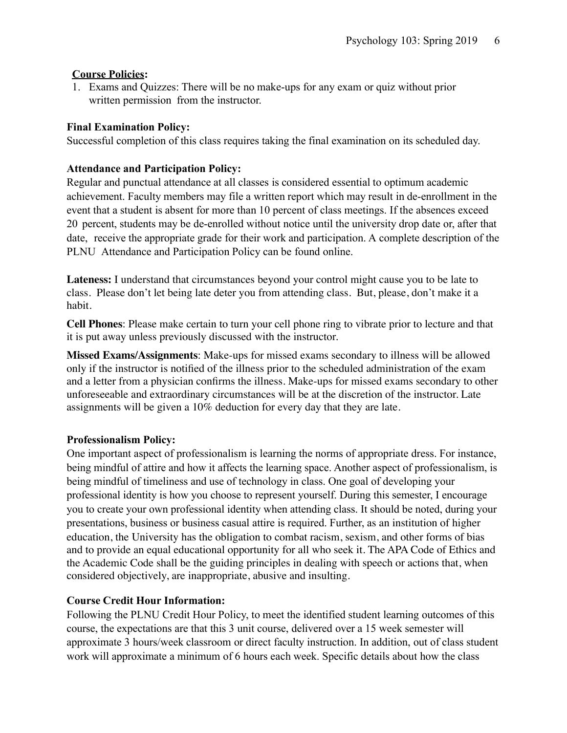## **Course Policies:**

1. Exams and Quizzes: There will be no make-ups for any exam or quiz without prior written permission from the instructor.

## **Final Examination Policy:**

Successful completion of this class requires taking the final examination on its scheduled day.

## **Attendance and Participation Policy:**

Regular and punctual attendance at all classes is considered essential to optimum academic achievement. Faculty members may file a written report which may result in de-enrollment in the event that a student is absent for more than 10 percent of class meetings. If the absences exceed 20 percent, students may be de-enrolled without notice until the university drop date or, after that date, receive the appropriate grade for their work and participation. A complete description of the PLNU Attendance [and Participation](http://catalog.pointloma.edu/content.php?catoid=18&navoid=1278&Class_Attendance) Policy can be found online.

**Lateness:** I understand that circumstances beyond your control might cause you to be late to class. Please don't let being late deter you from attending class. But, please, don't make it a habit.

**Cell Phones**: Please make certain to turn your cell phone ring to vibrate prior to lecture and that it is put away unless previously discussed with the instructor.

**Missed Exams/Assignments**: Make-ups for missed exams secondary to illness will be allowed only if the instructor is notified of the illness prior to the scheduled administration of the exam and a letter from a physician confirms the illness. Make-ups for missed exams secondary to other unforeseeable and extraordinary circumstances will be at the discretion of the instructor. Late assignments will be given a 10% deduction for every day that they are late.

## **Professionalism Policy:**

One important aspect of professionalism is learning the norms of appropriate dress. For instance, being mindful of attire and how it affects the learning space. Another aspect of professionalism, is being mindful of timeliness and use of technology in class. One goal of developing your professional identity is how you choose to represent yourself. During this semester, I encourage you to create your own professional identity when attending class. It should be noted, during your presentations, business or business casual attire is required. Further, as an institution of higher education, the University has the obligation to combat racism, sexism, and other forms of bias and to provide an equal educational opportunity for all who seek it. The APA Code of Ethics and the Academic Code shall be the guiding principles in dealing with speech or actions that, when considered objectively, are inappropriate, abusive and insulting.

# **Course Credit Hour Information:**

Following the PLNU Credit Hour Policy, to meet the identified student learning outcomes of this course, the expectations are that this 3 unit course, delivered over a 15 week semester will approximate 3 hours/week classroom or direct faculty instruction. In addition, out of class student work will approximate a minimum of 6 hours each week. Specific details about how the class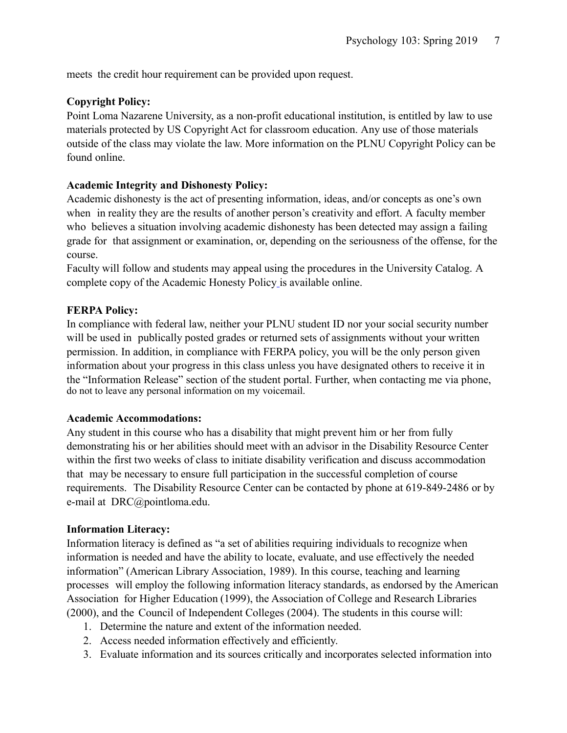meets the credit hour requirement can be provided upon request.

#### **Copyright Policy:**

Point Loma Nazarene University, as a non-profit educational institution, is entitled by law to use materials protected by US Copyright Act for classroom education. Any use of those materials outside of the class may violate the law. More information on the PLNU Copyright Policy can be found online.

#### **Academic Integrity and Dishonesty Policy:**

Academic dishonesty is the act of presenting information, ideas, and/or concepts as one's own when in reality they are the results of another person's creativity and effort. A faculty member who believes a situation involving academic dishonesty has been detected may assign a failing grade for that assignment or examination, or, depending on the seriousness of the offense, for the course.

Faculty will follow and students may appeal using the procedures in the University Catalog. A complete copy of the Academic Honesty Policy is available online.

#### **FERPA Policy:**

In compliance with federal law, neither your PLNU student ID nor your social security number will be used in publically posted grades or returned sets of assignments without your written permission. In addition, in compliance with FERPA policy, you will be the only person given information about your progress in this class unless you have designated others to receive it in the "Information Release" section of the student portal. Further, when contacting me via phone, do not to leave any personal information on my voicemail.

#### **Academic Accommodations:**

Any student in this course who has a disability that might prevent him or her from fully demonstrating his or her abilities should meet with an advisor in the Disability Resource Center within the first two weeks of class to initiate disability verification and discuss accommodation that may be necessary to ensure full participation in the successful completion of course requirements. The Disability Resource Center can be contacted by phone at 619-849-2486 or by e-mail at DRC@pointloma.edu.

#### **Information Literacy:**

Information literacy is defined as "a set of abilities requiring individuals to recognize when information is needed and have the ability to locate, evaluate, and use effectively the needed information" (American Library Association, 1989). In this course, teaching and learning processes will employ the following information literacy standards, as endorsed by the American Association for Higher Education (1999), the Association of College and Research Libraries (2000), and the Council of Independent Colleges (2004). The students in this course will:

- 1. Determine the nature and extent of the information needed.
- 2. Access needed information effectively and efficiently.
- 3. Evaluate information and its sources critically and incorporates selected information into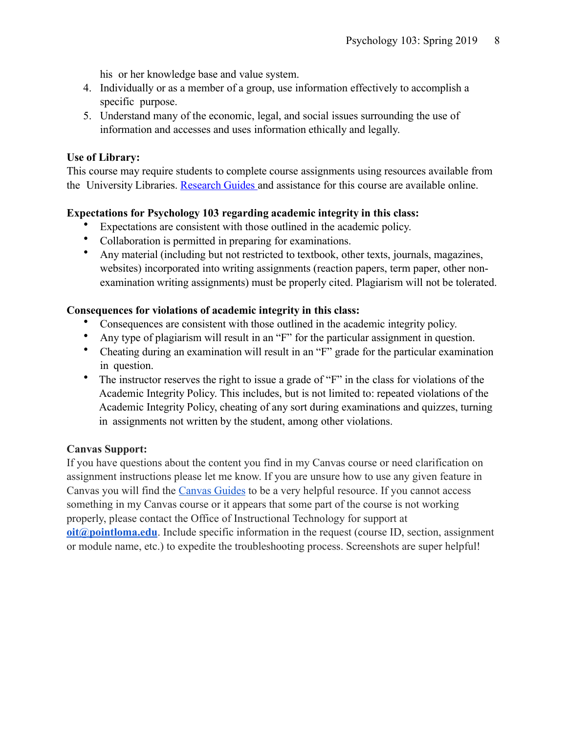his or her knowledge base and value system.

- 4. Individually or as a member of a group, use information effectively to accomplish a specific purpose.
- 5. Understand many of the economic, legal, and social issues surrounding the use of information and accesses and uses information ethically and legally.

#### **Use of Library:**

This course may require students to complete course assignments using resources available from the University Libraries. [Research](http://libguides.pointloma.edu/ResearchGuides) Guides and assistance for this course are available online.

## **Expectations for Psychology 103 regarding academic integrity in this class:**

- Expectations are consistent with those outlined in the academic policy.
- Collaboration is permitted in preparing for examinations.
- Any material (including but not restricted to textbook, other texts, journals, magazines, websites) incorporated into writing assignments (reaction papers, term paper, other nonexamination writing assignments) must be properly cited. Plagiarism will not be tolerated.

## **Consequences for violations of academic integrity in this class:**

- Consequences are consistent with those outlined in the academic integrity policy.
- Any type of plagiarism will result in an "F" for the particular assignment in question.
- Cheating during an examination will result in an "F" grade for the particular examination in question.
- The instructor reserves the right to issue a grade of "F" in the class for violations of the Academic Integrity Policy. This includes, but is not limited to: repeated violations of the Academic Integrity Policy, cheating of any sort during examinations and quizzes, turning in assignments not written by the student, among other violations.

## **Canvas Support:**

If you have questions about the content you find in my Canvas course or need clarification on assignment instructions please let me know. If you are unsure how to use any given feature in Canvas you will find the [Canvas Guides](https://community.canvaslms.com/community/answers/guides/) to be a very helpful resource. If you cannot access something in my Canvas course or it appears that some part of the course is not working properly, please contact the Office of Instructional Technology for support at **[oit@pointloma.edu](mailto:oit@pointloma.edu)**. Include specific information in the request (course ID, section, assignment or module name, etc.) to expedite the troubleshooting process. Screenshots are super helpful!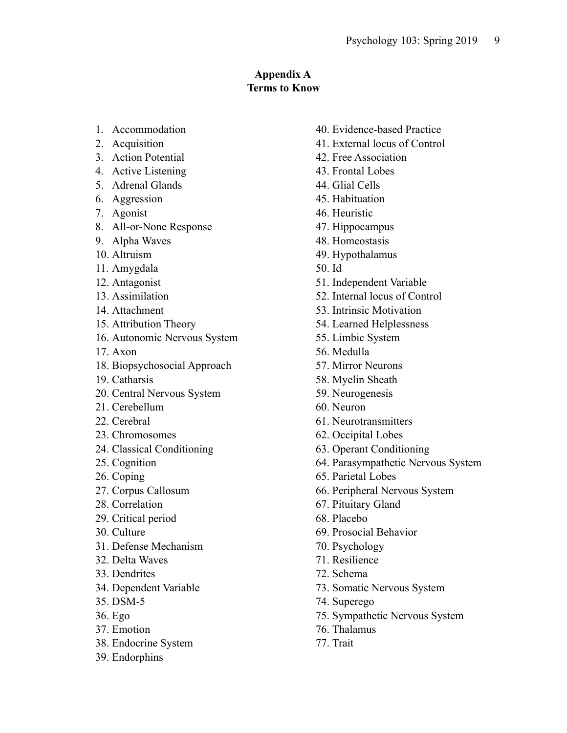# **Appendix A Terms to Know**

- 1. Accommodation
- 2. Acquisition
- 3. Action Potential
- 4. Active Listening
- 5. Adrenal Glands
- 6. Aggression
- 7. Agonist
- 8. All-or-None Response
- 9. Alpha Waves
- 10. Altruism
- 11. Amygdala
- 12. Antagonist
- 13. Assimilation
- 14. Attachment
- 15. Attribution Theory
- 16. Autonomic Nervous System
- 17. Axon
- 18. Biopsychosocial Approach
- 19. Catharsis
- 20. Central Nervous System
- 21. Cerebellum
- 22. Cerebral
- 23. Chromosomes
- 24. Classical Conditioning
- 25. Cognition
- 26. Coping
- 27. Corpus Callosum
- 28. Correlation
- 29. Critical period
- 30. Culture
- 31. Defense Mechanism
- 32. Delta Waves
- 33. Dendrites
- 34. Dependent Variable
- 35. DSM-5
- 36. Ego
- 37. Emotion
- 38. Endocrine System
- 39. Endorphins
- 40. Evidence-based Practice
- 41. External locus of Control
- 42. Free Association
- 43. Frontal Lobes
- 44. Glial Cells
- 45. Habituation
- 46. Heuristic
- 47. Hippocampus
- 48. Homeostasis
- 49. Hypothalamus
- 50. Id
- 51. Independent Variable
- 52. Internal locus of Control
- 53. Intrinsic Motivation
- 54. Learned Helplessness
- 55. Limbic System
- 56. Medulla
- 57. Mirror Neurons
- 58. Myelin Sheath
- 59. Neurogenesis
- 60. Neuron
- 61. Neurotransmitters
- 62. Occipital Lobes
- 63. Operant Conditioning
- 64. Parasympathetic Nervous System
- 65. Parietal Lobes
- 66. Peripheral Nervous System
- 67. Pituitary Gland
- 68. Placebo
- 69. Prosocial Behavior
- 70. Psychology
- 71. Resilience
- 72. Schema
- 73. Somatic Nervous System
- 74. Superego
- 75. Sympathetic Nervous System
- 76. Thalamus
- 77. Trait